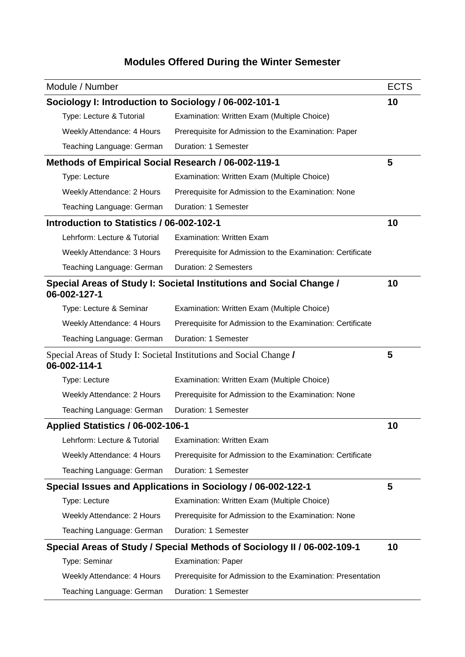## **Modules Offered During the Winter Semester**

|                                                                                     | Module / Number                                             |                                                                         | <b>ECTS</b> |  |  |
|-------------------------------------------------------------------------------------|-------------------------------------------------------------|-------------------------------------------------------------------------|-------------|--|--|
|                                                                                     | Sociology I: Introduction to Sociology / 06-002-101-1<br>10 |                                                                         |             |  |  |
|                                                                                     | Type: Lecture & Tutorial                                    | Examination: Written Exam (Multiple Choice)                             |             |  |  |
|                                                                                     | Weekly Attendance: 4 Hours                                  | Prerequisite for Admission to the Examination: Paper                    |             |  |  |
|                                                                                     | Teaching Language: German                                   | Duration: 1 Semester                                                    |             |  |  |
|                                                                                     | Methods of Empirical Social Research / 06-002-119-1         |                                                                         |             |  |  |
|                                                                                     | Type: Lecture                                               | Examination: Written Exam (Multiple Choice)                             |             |  |  |
|                                                                                     | Weekly Attendance: 2 Hours                                  | Prerequisite for Admission to the Examination: None                     |             |  |  |
|                                                                                     | Teaching Language: German                                   | Duration: 1 Semester                                                    |             |  |  |
|                                                                                     | Introduction to Statistics / 06-002-102-1                   |                                                                         |             |  |  |
|                                                                                     | Lehrform: Lecture & Tutorial                                | <b>Examination: Written Exam</b>                                        |             |  |  |
|                                                                                     | Weekly Attendance: 3 Hours                                  | Prerequisite for Admission to the Examination: Certificate              |             |  |  |
|                                                                                     | Teaching Language: German                                   | <b>Duration: 2 Semesters</b>                                            |             |  |  |
| Special Areas of Study I: Societal Institutions and Social Change /<br>06-002-127-1 |                                                             |                                                                         | 10          |  |  |
|                                                                                     | Type: Lecture & Seminar                                     | Examination: Written Exam (Multiple Choice)                             |             |  |  |
|                                                                                     | Weekly Attendance: 4 Hours                                  | Prerequisite for Admission to the Examination: Certificate              |             |  |  |
|                                                                                     | Teaching Language: German                                   | Duration: 1 Semester                                                    |             |  |  |
| Special Areas of Study I: Societal Institutions and Social Change /<br>06-002-114-1 |                                                             |                                                                         | 5           |  |  |
|                                                                                     | Type: Lecture                                               | Examination: Written Exam (Multiple Choice)                             |             |  |  |
|                                                                                     | Weekly Attendance: 2 Hours                                  | Prerequisite for Admission to the Examination: None                     |             |  |  |
|                                                                                     | Teaching Language: German                                   | Duration: 1 Semester                                                    |             |  |  |
|                                                                                     | Applied Statistics / 06-002-106-1                           |                                                                         |             |  |  |
|                                                                                     | Lehrform: Lecture & Tutorial                                | <b>Examination: Written Exam</b>                                        |             |  |  |
|                                                                                     | Weekly Attendance: 4 Hours                                  | Prerequisite for Admission to the Examination: Certificate              |             |  |  |
|                                                                                     | Teaching Language: German                                   | Duration: 1 Semester                                                    |             |  |  |
|                                                                                     |                                                             | Special Issues and Applications in Sociology / 06-002-122-1             | 5           |  |  |
|                                                                                     | Type: Lecture                                               | Examination: Written Exam (Multiple Choice)                             |             |  |  |
|                                                                                     | Weekly Attendance: 2 Hours                                  | Prerequisite for Admission to the Examination: None                     |             |  |  |
|                                                                                     | Teaching Language: German                                   | Duration: 1 Semester                                                    |             |  |  |
|                                                                                     |                                                             | Special Areas of Study / Special Methods of Sociology II / 06-002-109-1 | 10          |  |  |
|                                                                                     | Type: Seminar                                               | <b>Examination: Paper</b>                                               |             |  |  |
|                                                                                     | Weekly Attendance: 4 Hours                                  | Prerequisite for Admission to the Examination: Presentation             |             |  |  |
|                                                                                     | Teaching Language: German                                   | Duration: 1 Semester                                                    |             |  |  |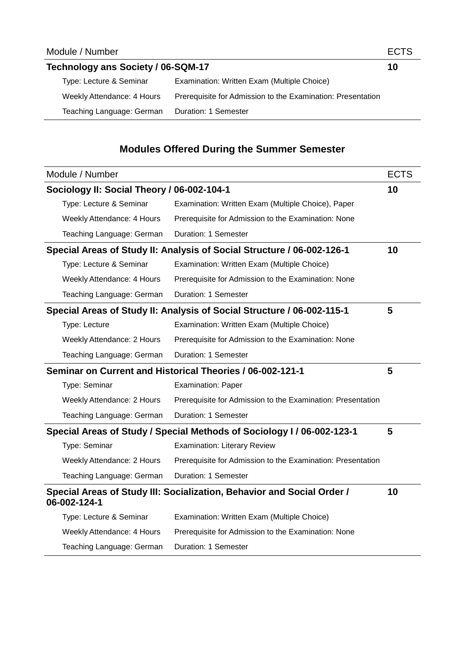| Technology ans Society / 06-SQM-17 |                                                             |  |  |
|------------------------------------|-------------------------------------------------------------|--|--|
| Type: Lecture & Seminar            | Examination: Written Exam (Multiple Choice)                 |  |  |
| Weekly Attendance: 4 Hours         | Prerequisite for Admission to the Examination: Presentation |  |  |
| Teaching Language: German          | Duration: 1 Semester                                        |  |  |

## **Modules Offered During the Summer Semester**

|                                                                                        | Module / Number                                                        |                                                                        | <b>ECTS</b> |
|----------------------------------------------------------------------------------------|------------------------------------------------------------------------|------------------------------------------------------------------------|-------------|
| Sociology II: Social Theory / 06-002-104-1                                             |                                                                        |                                                                        | 10          |
|                                                                                        | Type: Lecture & Seminar                                                | Examination: Written Exam (Multiple Choice), Paper                     |             |
|                                                                                        | Weekly Attendance: 4 Hours                                             | Prerequisite for Admission to the Examination: None                    |             |
|                                                                                        | Teaching Language: German                                              | Duration: 1 Semester                                                   |             |
| Special Areas of Study II: Analysis of Social Structure / 06-002-126-1                 |                                                                        |                                                                        | 10          |
|                                                                                        | Type: Lecture & Seminar                                                | Examination: Written Exam (Multiple Choice)                            |             |
|                                                                                        | Weekly Attendance: 4 Hours                                             | Prerequisite for Admission to the Examination: None                    |             |
|                                                                                        | Teaching Language: German                                              | <b>Duration: 1 Semester</b>                                            |             |
|                                                                                        | Special Areas of Study II: Analysis of Social Structure / 06-002-115-1 |                                                                        |             |
|                                                                                        | Type: Lecture                                                          | Examination: Written Exam (Multiple Choice)                            |             |
|                                                                                        | Weekly Attendance: 2 Hours                                             | Prerequisite for Admission to the Examination: None                    |             |
|                                                                                        | Teaching Language: German                                              | Duration: 1 Semester                                                   |             |
|                                                                                        | Seminar on Current and Historical Theories / 06-002-121-1              |                                                                        |             |
|                                                                                        | Type: Seminar                                                          | Examination: Paper                                                     |             |
|                                                                                        | Weekly Attendance: 2 Hours                                             | Prerequisite for Admission to the Examination: Presentation            |             |
|                                                                                        | Teaching Language: German                                              | Duration: 1 Semester                                                   |             |
|                                                                                        |                                                                        | Special Areas of Study / Special Methods of Sociology I / 06-002-123-1 | 5           |
|                                                                                        | Type: Seminar                                                          | <b>Examination: Literary Review</b>                                    |             |
|                                                                                        | Weekly Attendance: 2 Hours                                             | Prerequisite for Admission to the Examination: Presentation            |             |
|                                                                                        | Teaching Language: German                                              | Duration: 1 Semester                                                   |             |
| Special Areas of Study III: Socialization, Behavior and Social Order /<br>06-002-124-1 |                                                                        |                                                                        | 10          |
|                                                                                        | Type: Lecture & Seminar                                                | Examination: Written Exam (Multiple Choice)                            |             |
|                                                                                        | Weekly Attendance: 4 Hours                                             | Prerequisite for Admission to the Examination: None                    |             |
|                                                                                        | Teaching Language: German                                              | Duration: 1 Semester                                                   |             |